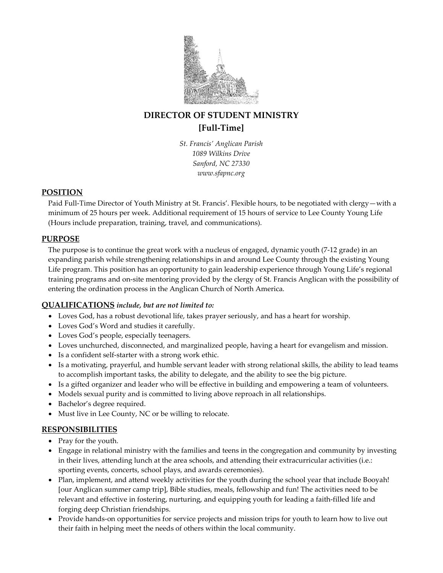

# DIRECTOR OF STUDENT MINISTRY [Full-Time]

St. Francis' Anglican Parish 1089 Wilkins Drive Sanford, NC 27330 www.sfapnc.org

### POSITION

Paid Full-Time Director of Youth Ministry at St. Francis'. Flexible hours, to be negotiated with clergy—with a minimum of 25 hours per week. Additional requirement of 15 hours of service to Lee County Young Life (Hours include preparation, training, travel, and communications).

# PURPOSE

The purpose is to continue the great work with a nucleus of engaged, dynamic youth (7-12 grade) in an expanding parish while strengthening relationships in and around Lee County through the existing Young Life program. This position has an opportunity to gain leadership experience through Young Life's regional training programs and on-site mentoring provided by the clergy of St. Francis Anglican with the possibility of entering the ordination process in the Anglican Church of North America.

# QUALIFICATIONS include, but are not limited to:

- Loves God, has a robust devotional life, takes prayer seriously, and has a heart for worship.
- Loves God's Word and studies it carefully.
- Loves God's people, especially teenagers.
- Loves unchurched, disconnected, and marginalized people, having a heart for evangelism and mission.
- Is a confident self-starter with a strong work ethic.
- Is a motivating, prayerful, and humble servant leader with strong relational skills, the ability to lead teams to accomplish important tasks, the ability to delegate, and the ability to see the big picture.
- Is a gifted organizer and leader who will be effective in building and empowering a team of volunteers.
- Models sexual purity and is committed to living above reproach in all relationships.
- Bachelor's degree required.
- Must live in Lee County, NC or be willing to relocate.

# **RESPONSIBILITIES**

- Pray for the youth.
- Engage in relational ministry with the families and teens in the congregation and community by investing in their lives, attending lunch at the area schools, and attending their extracurricular activities (i.e.: sporting events, concerts, school plays, and awards ceremonies).
- Plan, implement, and attend weekly activities for the youth during the school year that include Booyah! [our Anglican summer camp trip], Bible studies, meals, fellowship and fun! The activities need to be relevant and effective in fostering, nurturing, and equipping youth for leading a faith-filled life and forging deep Christian friendships.
- Provide hands-on opportunities for service projects and mission trips for youth to learn how to live out their faith in helping meet the needs of others within the local community.